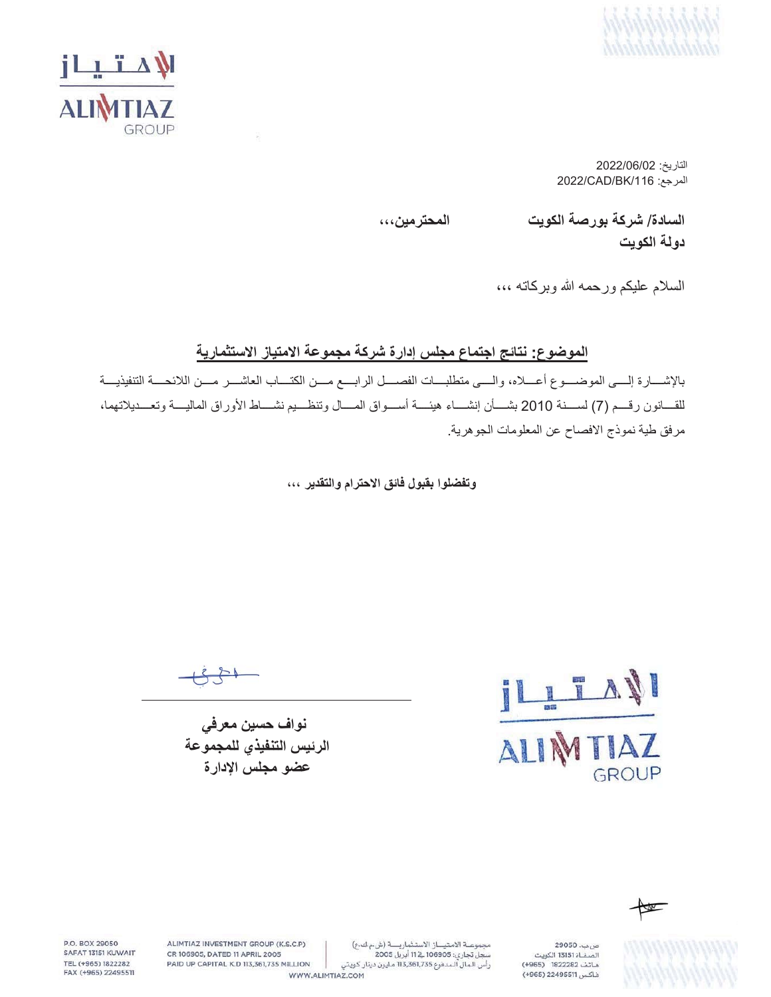



2022/06/02 2022/CAD/BK/116 (المرجع:

**ˬˬˬϥϳϣέΗΣϣϟ ΕϳϭϛϟΔλέϭΑΔϛέη** /**ΓΩΎγϟ**

دولة الكوي*ت* 

السلام عليكم ورحمه الله وبركاته ،،،

## الموضوع: نتائج اجتماع مجلس إدارة شركة مجموعة الامتياز الاستثمارية

بالإشـــارة إلـــي الموضــــوع أعــــلاه، والــــي منطلبــــات الفصــــل الرابــــع مــــن الكتــــاب العاشــــر مــــن اللائحــــة التنفيذيــــة للقسانون رقسم (7) لسسنة 2010 بشسأن إنشساء هيئسة أسسواق المسال وتنظسيم نشساط الأوراق الماليسة وتعسديلاتهما، مرفق طية نموذج الافصاح عن المعلومات الجوهرية.

وتفضلوا بقبول فائق الاحترام والتقدير ،،،

 $\forall$ L AI GROUP

نواف حسین معرف*ی* الرئيس التنفيذي للمجموعة عضو مجلس الإدارة



29050. .<br>الصفاة 13151 الكويت هاتف 1822282 (4965) فاكس 22495511 (965+)

ALIMTIAZ INVESTMENT GROUP (K.S.C.P) مجموعة الامتياز الاستثمارية (ش.م ك.ع) سجل تجاري: 106905 في 11 أبريل 2005 رأس الـمال الـمدفوع 113,361,735 مـليون دينار كـويتي

WWW.ALIMTIAZ.COM

PAID UP CAPITAL K.D 113,361,735 MILLION

CR 106905, DATED 11 APRIL 2005

P.O. BOX 29050

SAFAT 13151 KUWAIT

TEL (+965) 1822282

FAX (+965) 22495511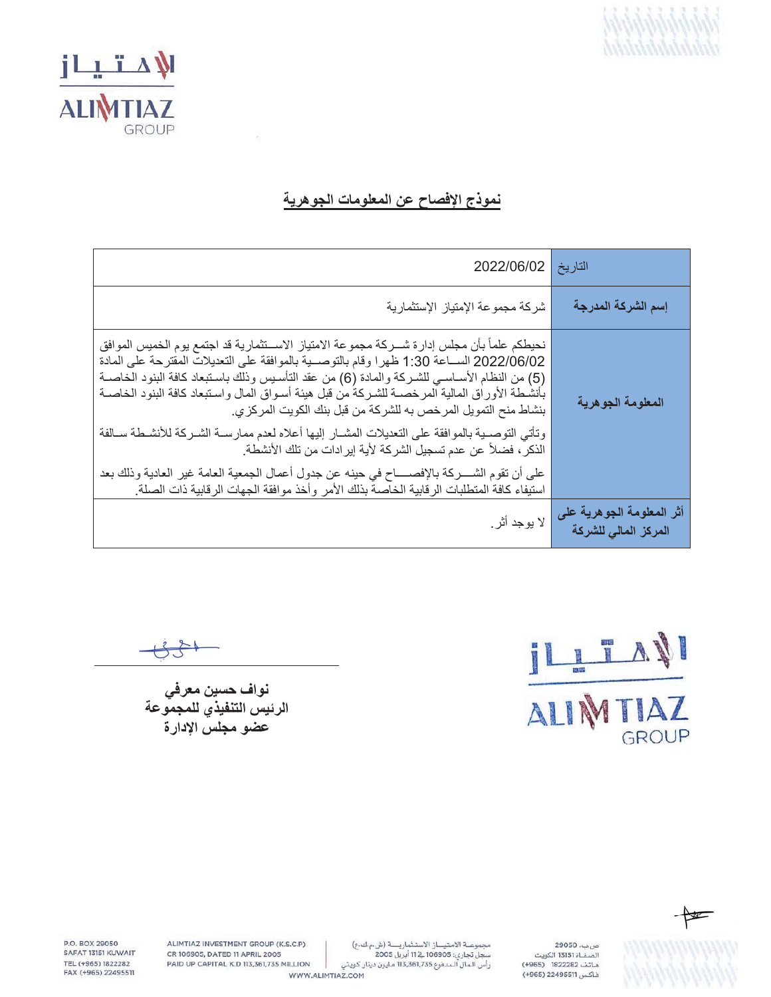



## نموذج الإفصاح عن المعلومات الجوهرية

| التاريخ 2022/06/02                                                                                                                                                                                                                                                                                                                                                                                                                                                                                                                                                                                                                                                                                                                                                                                                                              |                                                   |
|-------------------------------------------------------------------------------------------------------------------------------------------------------------------------------------------------------------------------------------------------------------------------------------------------------------------------------------------------------------------------------------------------------------------------------------------------------------------------------------------------------------------------------------------------------------------------------------------------------------------------------------------------------------------------------------------------------------------------------------------------------------------------------------------------------------------------------------------------|---------------------------------------------------|
| شركة مجموعة الإمتياز الإستثمارية                                                                                                                                                                                                                                                                                                                                                                                                                                                                                                                                                                                                                                                                                                                                                                                                                | إسم الشركة المدرجة                                |
| نحيطكم علماً بأن مجلس إدارة شـــركة مجموعة الامتياز الاســـنثمارية قد اجتمع يوم الخميس الموافق<br>2022/06/02 الســاعة 1:30 ظهرا وقام بالتوصــية بالموافقة على التعديلات المقترحة على المادة<br>(5) من النظام الأســاســي للشــركة والمـادة (6) من عقد التأســيس وذلك بـاسـتبعاد كـافة البنود الـخاصــة<br>بأنشطة الأوراق المالية المرخصــة للشـركة من قبل هيئة أسـواق المال واسـتبعاد كافة البنود الخاصــة<br>بنشاط منح التمويل المرخص به للشركة من قبل بنك الكويت المركزي.<br>وتأتى التوصىية بالموافقة على التعديلات المشــار إليها أعلاه لعدم ممارســة الشـركة للأنشـطة سـالفة<br>الذكر ، فضلاً عن عدم تسجيل الشركة لأية إيرادات من تلك الأنشطة.<br>على أن تقوم الشــــركة بالإفصـــــاح في حينه عن جدول أعمال الجمعية العامة غير العادية وذلك بعد<br>استيفاء كافة المتطلبات الرقابية الخاصة بذلك الأمر وأخذ موافقة الجهات الرقابية ذات الصلة | المعلومة الجوهرية                                 |
| لا يوجد أثر .                                                                                                                                                                                                                                                                                                                                                                                                                                                                                                                                                                                                                                                                                                                                                                                                                                   | أثر المعلومة الجوهرية على<br>المركز المالى للشركة |

IL TAN GROUP

نواف حسين معرفي<br>الرئيس التنفيذي للمجموعة عضو مجلس الإدارة



ص ب. 29050 .<br>الصفاة 13151 الكويت هاتف 1822282 (4965) فاكس 22495511 (+965)

مجموعة الامتياز الاستثمارية (شء ك ع) 

ALIMTIAZ INVESTMENT GROUP (K.S.C.P) CR 106905, DATED 11 APRIL 2005 PAID UP CAPITAL K.D 113,361,735 MILLION WWW.ALIMTIAZ.COM

P.O. BOX 29050 SAFAT 13151 KUWAIT TEL (+965) 1822282 FAX (+965) 22495511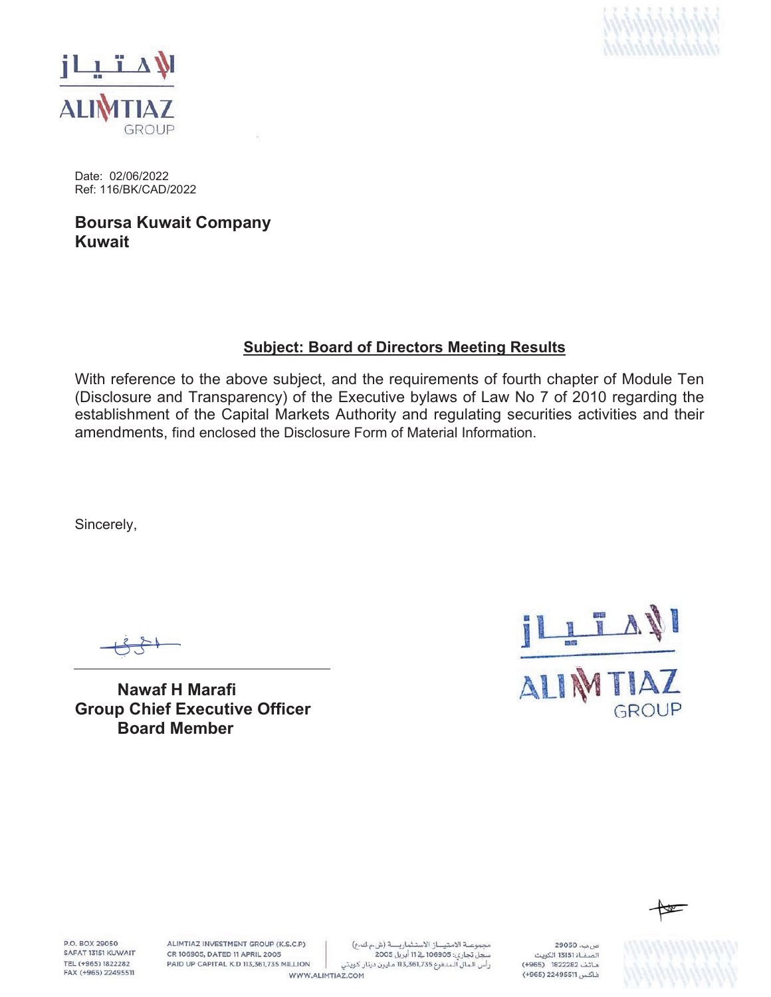



Date: 02/06/2022 Ref: 116/BK/CAD/2022

**Boursa Kuwait Company Kuwait**

## **Subject: Board of Directors Meeting Results**

With reference to the above subject, and the requirements of fourth chapter of Module Ten (Disclosure and Transparency) of the Executive bylaws of Law No 7 of 2010 regarding the establishment of the Capital Markets Authority and regulating securities activities and their amendments, find enclosed the Disclosure Form of Material Information.

Sincerely,

**Nawaf H Marafi Group Chief Executive Officer Board Member**





**P.O. ROY 29050** SAFAT 13151 KUWAIT TEL (+965) 1822282 FAX (+965) 22495511 ALIMTIAZ INVESTMENT GROUP (K.S.C.P) CR 106905, DATED 11 APRIL 2005 PAID UP CAPITAL K.D 113,361,735 MILLION

مجموعة الامتياز الاستثمارية (شء ك ع) سجل تجاري: 106905 قے 11 أبريل 2005 رأس الـمال الـمدفوع 113,361,735 مـليون دينار كـويتي

WWW.ALIMTIAZ.COM

ص بب. 29050 .<br>الصفــاة 13151 الكويت هاتف 1822282 (4965) فاكس 22495511 (965+)